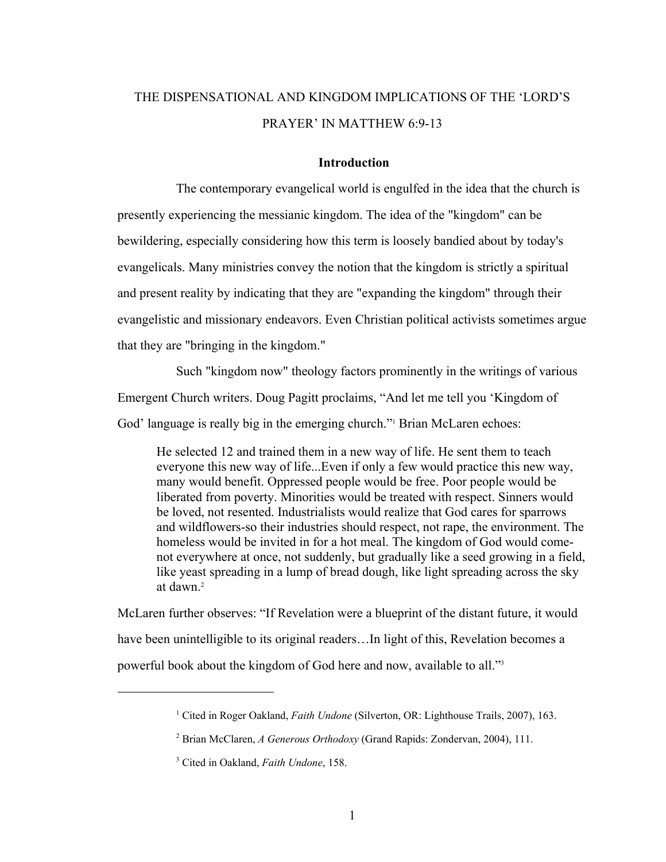# THE DISPENSATIONAL AND KINGDOM IMPLICATIONS OF THE 'LORD'S PRAYER' IN MATTHEW 6:9-13

## **Introduction**

The contemporary evangelical world is engulfed in the idea that the church is presently experiencing the messianic kingdom. The idea of the "kingdom" can be bewildering, especially considering how this term is loosely bandied about by today's evangelicals. Many ministries convey the notion that the kingdom is strictly a spiritual and present reality by indicating that they are "expanding the kingdom" through their evangelistic and missionary endeavors. Even Christian political activists sometimes argue that they are "bringing in the kingdom."

Such "kingdom now" theology factors prominently in the writings of various Emergent Church writers. Doug Pagitt proclaims, "And let me tell you 'Kingdom of God' language is really big in the emerging church." Brian McLaren echoes:

He selected 12 and trained them in a new way of life. He sent them to teach everyone this new way of life...Even if only a few would practice this new way, many would benefit. Oppressed people would be free. Poor people would be liberated from poverty. Minorities would be treated with respect. Sinners would be loved, not resented. Industrialists would realize that God cares for sparrows and wildflowers-so their industries should respect, not rape, the environment. The homeless would be invited in for a hot meal. The kingdom of God would comenot everywhere at once, not suddenly, but gradually like a seed growing in a field, like yeast spreading in a lump of bread dough, like light spreading across the sky at dawn $^2$ 

McLaren further observes: "If Revelation were a blueprint of the distant future, it would have been unintelligible to its original readers...In light of this, Revelation becomes a powerful book about the kingdom of God here and now, available to all."3

<sup>&</sup>lt;sup>1</sup> Cited in Roger Oakland, *Faith Undone* (Silverton, OR: Lighthouse Trails, 2007), 163.

<sup>2</sup> Brian McClaren, *A Generous Orthodoxy* (Grand Rapids: Zondervan, 2004), 111.

<sup>3</sup> Cited in Oakland, *Faith Undone*, 158.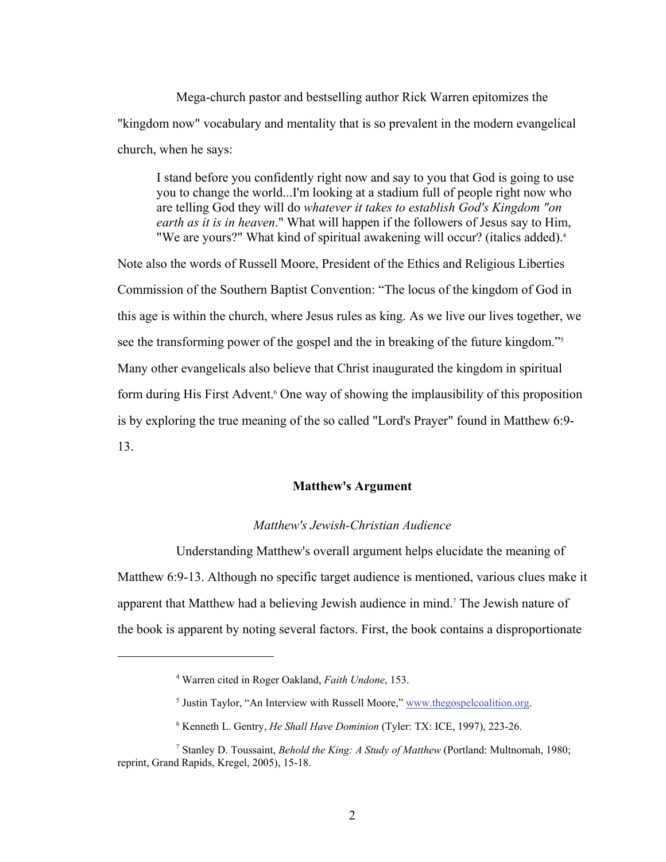Mega-church pastor and bestselling author Rick Warren epitomizes the "kingdom now" vocabulary and mentality that is so prevalent in the modern evangelical church, when he says:

I stand before you confidently right now and say to you that God is going to use you to change the world...I'm looking at a stadium full of people right now who are telling God they will do *whatever it takes to establish God's Kingdom "on earth as it is in heaven*." What will happen if the followers of Jesus say to Him, "We are yours?" What kind of spiritual awakening will occur? (italics added).<sup>4</sup>

Note also the words of Russell Moore, President of the Ethics and Religious Liberties Commission of the Southern Baptist Convention: "The locus of the kingdom of God in this age is within the church, where Jesus rules as king. As we live our lives together, we see the transforming power of the gospel and the in breaking of the future kingdom."5 Many other evangelicals also believe that Christ inaugurated the kingdom in spiritual form during His First Advent.<sup>6</sup> One way of showing the implausibility of this proposition is by exploring the true meaning of the so called "Lord's Prayer" found in Matthew 6:9- 13.

## **Matthew's Argument**

## *Matthew's Jewish-Christian Audience*

Understanding Matthew's overall argument helps elucidate the meaning of Matthew 6:9-13. Although no specific target audience is mentioned, various clues make it apparent that Matthew had a believing Jewish audience in mind.7 The Jewish nature of the book is apparent by noting several factors. First, the book contains a disproportionate

<sup>4</sup> Warren cited in Roger Oakland, *Faith Undone*, 153.

 $<sup>5</sup>$  Justin Taylor, "An Interview with Russell Moore," www.thegospelcoalition.org.</sup>

<sup>6</sup> Kenneth L. Gentry, *He Shall Have Dominion* (Tyler: TX: ICE, 1997), 223-26.

<sup>7</sup> Stanley D. Toussaint, *Behold the King: A Study of Matthew* (Portland: Multnomah, 1980; reprint, Grand Rapids, Kregel, 2005), 15-18.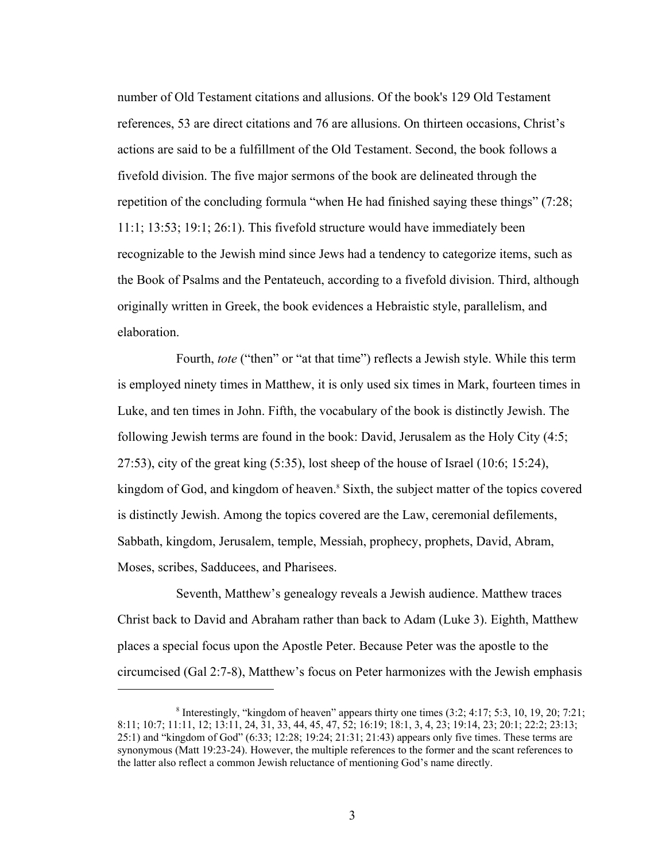number of Old Testament citations and allusions. Of the book's 129 Old Testament references, 53 are direct citations and 76 are allusions. On thirteen occasions, Christ's actions are said to be a fulfillment of the Old Testament. Second, the book follows a fivefold division. The five major sermons of the book are delineated through the repetition of the concluding formula "when He had finished saying these things" (7:28; 11:1; 13:53; 19:1; 26:1). This fivefold structure would have immediately been recognizable to the Jewish mind since Jews had a tendency to categorize items, such as the Book of Psalms and the Pentateuch, according to a fivefold division. Third, although originally written in Greek, the book evidences a Hebraistic style, parallelism, and elaboration.

Fourth, *tote* ("then" or "at that time") reflects a Jewish style. While this term is employed ninety times in Matthew, it is only used six times in Mark, fourteen times in Luke, and ten times in John. Fifth, the vocabulary of the book is distinctly Jewish. The following Jewish terms are found in the book: David, Jerusalem as the Holy City (4:5; 27:53), city of the great king  $(5:35)$ , lost sheep of the house of Israel  $(10:6; 15:24)$ , kingdom of God, and kingdom of heaven.<sup>8</sup> Sixth, the subject matter of the topics covered is distinctly Jewish. Among the topics covered are the Law, ceremonial defilements, Sabbath, kingdom, Jerusalem, temple, Messiah, prophecy, prophets, David, Abram, Moses, scribes, Sadducees, and Pharisees.

Seventh, Matthew's genealogy reveals a Jewish audience. Matthew traces Christ back to David and Abraham rather than back to Adam (Luke 3). Eighth, Matthew places a special focus upon the Apostle Peter. Because Peter was the apostle to the circumcised (Gal 2:7-8), Matthew's focus on Peter harmonizes with the Jewish emphasis

<sup>&</sup>lt;sup>8</sup> Interestingly, "kingdom of heaven" appears thirty one times  $(3:2; 4:17; 5:3, 10, 19, 20; 7:21;$ 8:11; 10:7; 11:11, 12; 13:11, 24, 31, 33, 44, 45, 47, 52; 16:19; 18:1, 3, 4, 23; 19:14, 23; 20:1; 22:2; 23:13; 25:1) and "kingdom of God" (6:33; 12:28; 19:24; 21:31; 21:43) appears only five times. These terms are synonymous (Matt 19:23-24). However, the multiple references to the former and the scant references to the latter also reflect a common Jewish reluctance of mentioning God's name directly.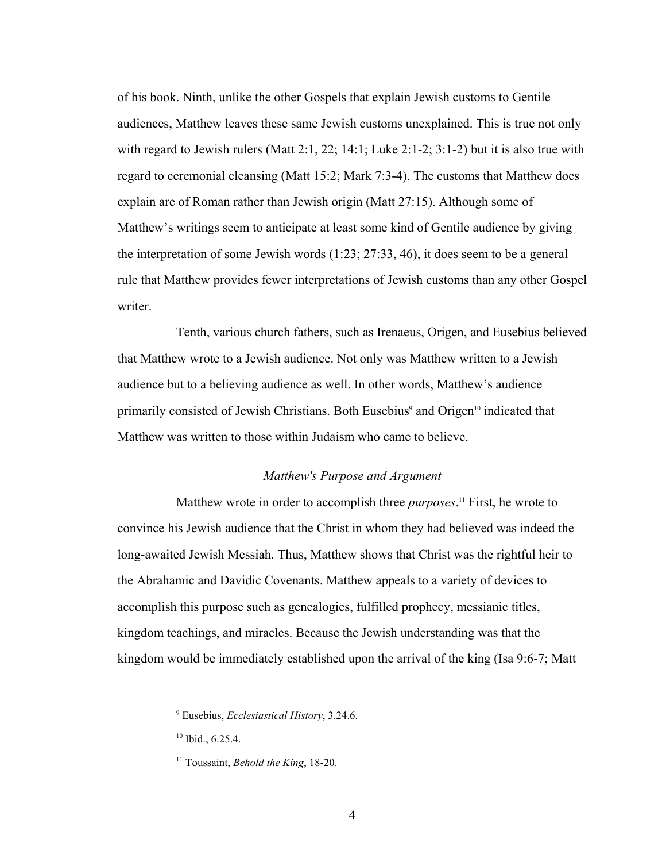of his book. Ninth, unlike the other Gospels that explain Jewish customs to Gentile audiences, Matthew leaves these same Jewish customs unexplained. This is true not only with regard to Jewish rulers (Matt 2:1, 22; 14:1; Luke 2:1-2; 3:1-2) but it is also true with regard to ceremonial cleansing (Matt 15:2; Mark 7:3-4). The customs that Matthew does explain are of Roman rather than Jewish origin (Matt 27:15). Although some of Matthew's writings seem to anticipate at least some kind of Gentile audience by giving the interpretation of some Jewish words (1:23; 27:33, 46), it does seem to be a general rule that Matthew provides fewer interpretations of Jewish customs than any other Gospel writer.

Tenth, various church fathers, such as Irenaeus, Origen, and Eusebius believed that Matthew wrote to a Jewish audience. Not only was Matthew written to a Jewish audience but to a believing audience as well. In other words, Matthew's audience primarily consisted of Jewish Christians. Both Eusebius<sup>9</sup> and Origen<sup>10</sup> indicated that Matthew was written to those within Judaism who came to believe.

## *Matthew's Purpose and Argument*

Matthew wrote in order to accomplish three *purposes*. 11 First, he wrote to convince his Jewish audience that the Christ in whom they had believed was indeed the long-awaited Jewish Messiah. Thus, Matthew shows that Christ was the rightful heir to the Abrahamic and Davidic Covenants. Matthew appeals to a variety of devices to accomplish this purpose such as genealogies, fulfilled prophecy, messianic titles, kingdom teachings, and miracles. Because the Jewish understanding was that the kingdom would be immediately established upon the arrival of the king (Isa 9:6-7; Matt

<sup>9</sup> Eusebius, *Ecclesiastical History*, 3.24.6.

<sup>&</sup>lt;sup>10</sup> Ibid., 6.25.4.

<sup>11</sup> Toussaint, *Behold the King*, 18-20.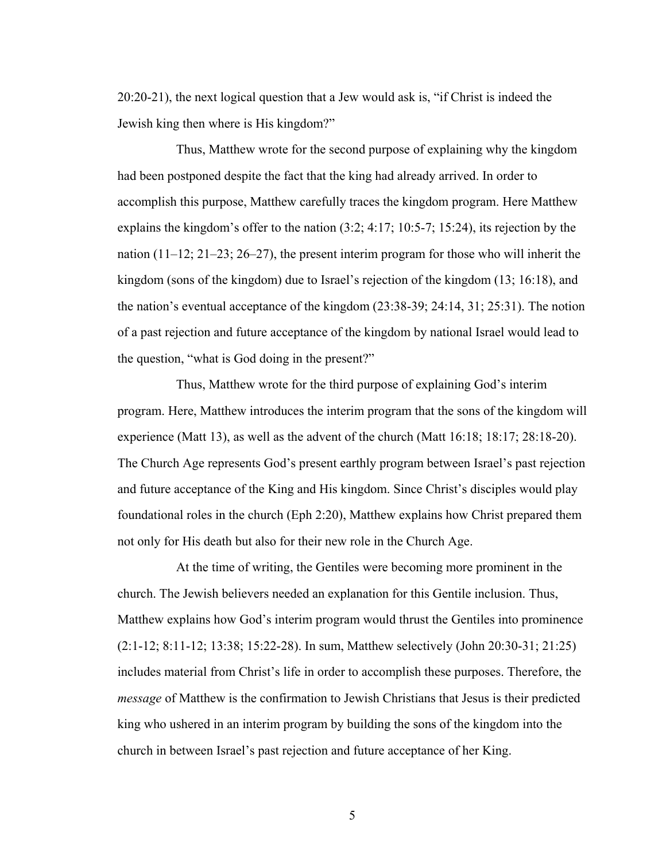20:20-21), the next logical question that a Jew would ask is, "if Christ is indeed the Jewish king then where is His kingdom?"

Thus, Matthew wrote for the second purpose of explaining why the kingdom had been postponed despite the fact that the king had already arrived. In order to accomplish this purpose, Matthew carefully traces the kingdom program. Here Matthew explains the kingdom's offer to the nation (3:2; 4:17; 10:5-7; 15:24), its rejection by the nation (11–12; 21–23; 26–27), the present interim program for those who will inherit the kingdom (sons of the kingdom) due to Israel's rejection of the kingdom (13; 16:18), and the nation's eventual acceptance of the kingdom (23:38-39; 24:14, 31; 25:31). The notion of a past rejection and future acceptance of the kingdom by national Israel would lead to the question, "what is God doing in the present?"

Thus, Matthew wrote for the third purpose of explaining God's interim program. Here, Matthew introduces the interim program that the sons of the kingdom will experience (Matt 13), as well as the advent of the church (Matt 16:18; 18:17; 28:18-20). The Church Age represents God's present earthly program between Israel's past rejection and future acceptance of the King and His kingdom. Since Christ's disciples would play foundational roles in the church (Eph 2:20), Matthew explains how Christ prepared them not only for His death but also for their new role in the Church Age.

At the time of writing, the Gentiles were becoming more prominent in the church. The Jewish believers needed an explanation for this Gentile inclusion. Thus, Matthew explains how God's interim program would thrust the Gentiles into prominence (2:1-12; 8:11-12; 13:38; 15:22-28). In sum, Matthew selectively (John 20:30-31; 21:25) includes material from Christ's life in order to accomplish these purposes. Therefore, the *message* of Matthew is the confirmation to Jewish Christians that Jesus is their predicted king who ushered in an interim program by building the sons of the kingdom into the church in between Israel's past rejection and future acceptance of her King.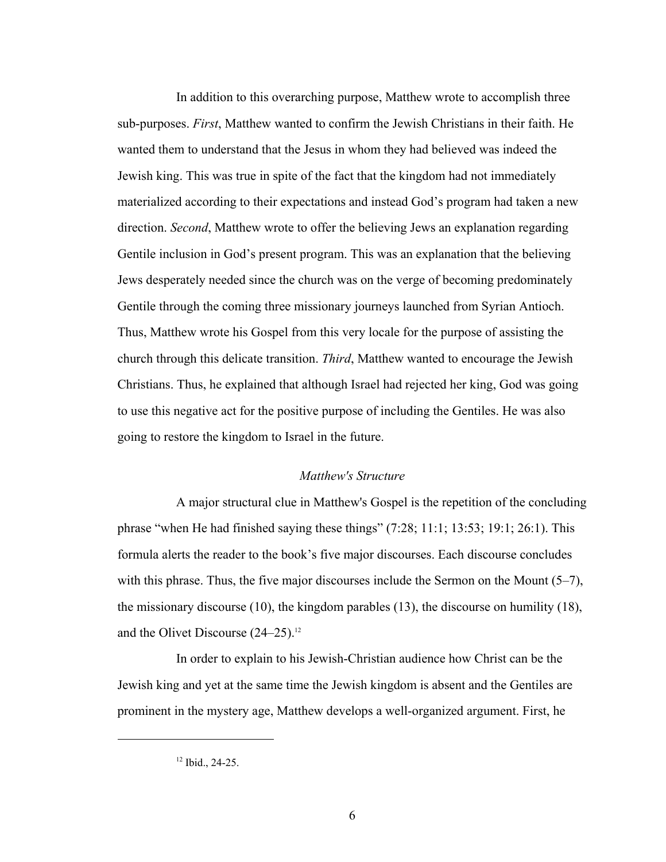In addition to this overarching purpose, Matthew wrote to accomplish three sub-purposes. *First*, Matthew wanted to confirm the Jewish Christians in their faith. He wanted them to understand that the Jesus in whom they had believed was indeed the Jewish king. This was true in spite of the fact that the kingdom had not immediately materialized according to their expectations and instead God's program had taken a new direction. *Second*, Matthew wrote to offer the believing Jews an explanation regarding Gentile inclusion in God's present program. This was an explanation that the believing Jews desperately needed since the church was on the verge of becoming predominately Gentile through the coming three missionary journeys launched from Syrian Antioch. Thus, Matthew wrote his Gospel from this very locale for the purpose of assisting the church through this delicate transition. *Third*, Matthew wanted to encourage the Jewish Christians. Thus, he explained that although Israel had rejected her king, God was going to use this negative act for the positive purpose of including the Gentiles. He was also going to restore the kingdom to Israel in the future.

#### *Matthew's Structure*

A major structural clue in Matthew's Gospel is the repetition of the concluding phrase "when He had finished saying these things" (7:28; 11:1; 13:53; 19:1; 26:1). This formula alerts the reader to the book's five major discourses. Each discourse concludes with this phrase. Thus, the five major discourses include the Sermon on the Mount (5–7), the missionary discourse (10), the kingdom parables (13), the discourse on humility (18), and the Olivet Discourse  $(24-25)$ .<sup>12</sup>

In order to explain to his Jewish-Christian audience how Christ can be the Jewish king and yet at the same time the Jewish kingdom is absent and the Gentiles are prominent in the mystery age, Matthew develops a well-organized argument. First, he

 $12$  Ibid., 24-25.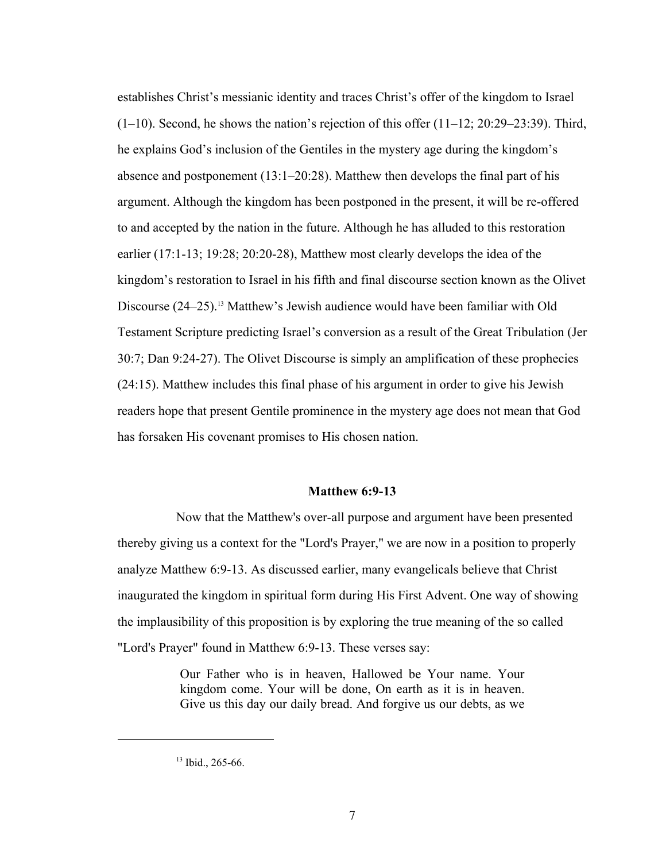establishes Christ's messianic identity and traces Christ's offer of the kingdom to Israel  $(1–10)$ . Second, he shows the nation's rejection of this offer  $(11–12; 20:29–23:39)$ . Third, he explains God's inclusion of the Gentiles in the mystery age during the kingdom's absence and postponement  $(13:1-20:28)$ . Matthew then develops the final part of his argument. Although the kingdom has been postponed in the present, it will be re-offered to and accepted by the nation in the future. Although he has alluded to this restoration earlier (17:1-13; 19:28; 20:20-28), Matthew most clearly develops the idea of the kingdom's restoration to Israel in his fifth and final discourse section known as the Olivet Discourse (24–25).13 Matthew's Jewish audience would have been familiar with Old Testament Scripture predicting Israel's conversion as a result of the Great Tribulation (Jer 30:7; Dan 9:24-27). The Olivet Discourse is simply an amplification of these prophecies (24:15). Matthew includes this final phase of his argument in order to give his Jewish readers hope that present Gentile prominence in the mystery age does not mean that God has forsaken His covenant promises to His chosen nation.

## **Matthew 6:9-13**

Now that the Matthew's over-all purpose and argument have been presented thereby giving us a context for the "Lord's Prayer," we are now in a position to properly analyze Matthew 6:9-13. As discussed earlier, many evangelicals believe that Christ inaugurated the kingdom in spiritual form during His First Advent. One way of showing the implausibility of this proposition is by exploring the true meaning of the so called "Lord's Prayer" found in Matthew 6:9-13. These verses say:

> Our Father who is in heaven, Hallowed be Your name. Your kingdom come. Your will be done, On earth as it is in heaven. Give us this day our daily bread. And forgive us our debts, as we

<sup>&</sup>lt;sup>13</sup> Ibid., 265-66.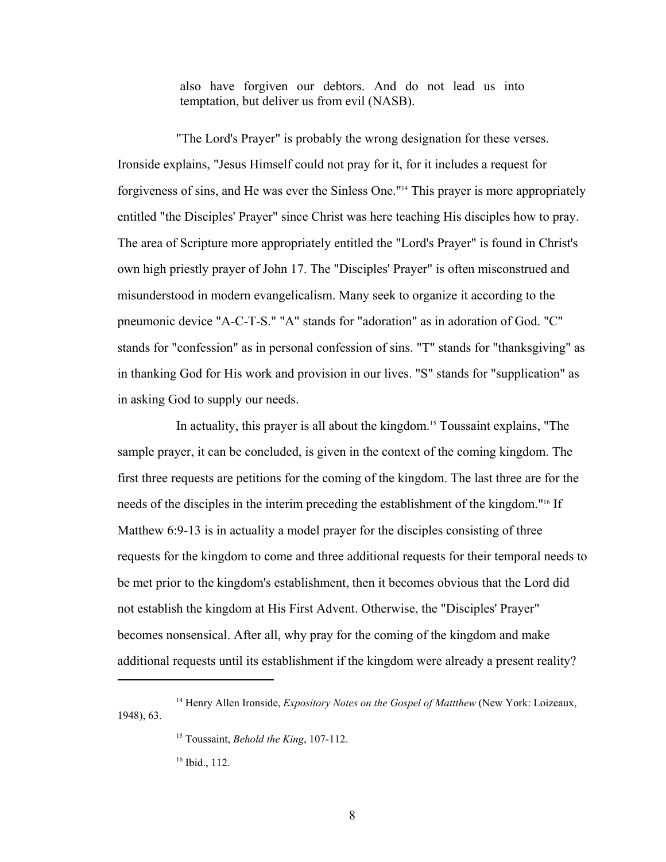also have forgiven our debtors. And do not lead us into temptation, but deliver us from evil (NASB).

"The Lord's Prayer" is probably the wrong designation for these verses. Ironside explains, "Jesus Himself could not pray for it, for it includes a request for forgiveness of sins, and He was ever the Sinless One."14 This prayer is more appropriately entitled "the Disciples' Prayer" since Christ was here teaching His disciples how to pray. The area of Scripture more appropriately entitled the "Lord's Prayer" is found in Christ's own high priestly prayer of John 17. The "Disciples' Prayer" is often misconstrued and misunderstood in modern evangelicalism. Many seek to organize it according to the pneumonic device "A-C-T-S." "A" stands for "adoration" as in adoration of God. "C" stands for "confession" as in personal confession of sins. "T" stands for "thanksgiving" as in thanking God for His work and provision in our lives. "S" stands for "supplication" as in asking God to supply our needs.

In actuality, this prayer is all about the kingdom.15 Toussaint explains, "The sample prayer, it can be concluded, is given in the context of the coming kingdom. The first three requests are petitions for the coming of the kingdom. The last three are for the needs of the disciples in the interim preceding the establishment of the kingdom."16 If Matthew 6:9-13 is in actuality a model prayer for the disciples consisting of three requests for the kingdom to come and three additional requests for their temporal needs to be met prior to the kingdom's establishment, then it becomes obvious that the Lord did not establish the kingdom at His First Advent. Otherwise, the "Disciples' Prayer" becomes nonsensical. After all, why pray for the coming of the kingdom and make additional requests until its establishment if the kingdom were already a present reality?

<sup>&</sup>lt;sup>14</sup> Henry Allen Ironside, *Expository Notes on the Gospel of Mattthew* (New York: Loizeaux, 1948), 63.

<sup>15</sup> Toussaint, *Behold the King*, 107-112.

<sup>&</sup>lt;sup>16</sup> Ibid., 112.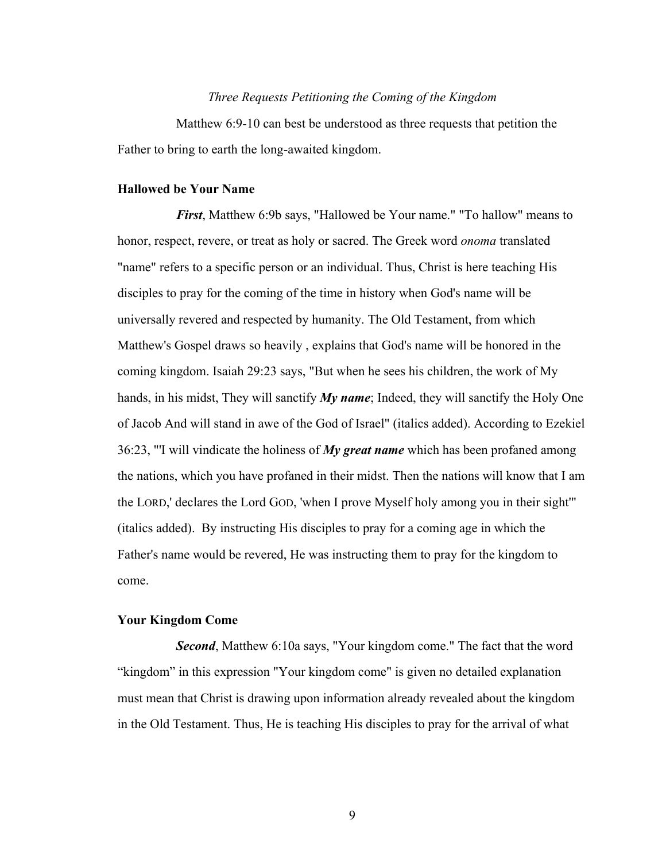### *Three Requests Petitioning the Coming of the Kingdom*

Matthew 6:9-10 can best be understood as three requests that petition the Father to bring to earth the long-awaited kingdom.

#### **Hallowed be Your Name**

*First*, Matthew 6:9b says, "Hallowed be Your name." "To hallow" means to honor, respect, revere, or treat as holy or sacred. The Greek word *onoma* translated "name" refers to a specific person or an individual. Thus, Christ is here teaching His disciples to pray for the coming of the time in history when God's name will be universally revered and respected by humanity. The Old Testament, from which Matthew's Gospel draws so heavily , explains that God's name will be honored in the coming kingdom. Isaiah 29:23 says, "But when he sees his children, the work of My hands, in his midst, They will sanctify *My name*; Indeed, they will sanctify the Holy One of Jacob And will stand in awe of the God of Israel" (italics added). According to Ezekiel 36:23, "'I will vindicate the holiness of *My great name* which has been profaned among the nations, which you have profaned in their midst. Then the nations will know that I am the LORD,' declares the Lord GOD, 'when I prove Myself holy among you in their sight'" (italics added). By instructing His disciples to pray for a coming age in which the Father's name would be revered, He was instructing them to pray for the kingdom to come.

#### **Your Kingdom Come**

*Second*, Matthew 6:10a says, "Your kingdom come." The fact that the word "kingdom" in this expression "Your kingdom come" is given no detailed explanation must mean that Christ is drawing upon information already revealed about the kingdom in the Old Testament. Thus, He is teaching His disciples to pray for the arrival of what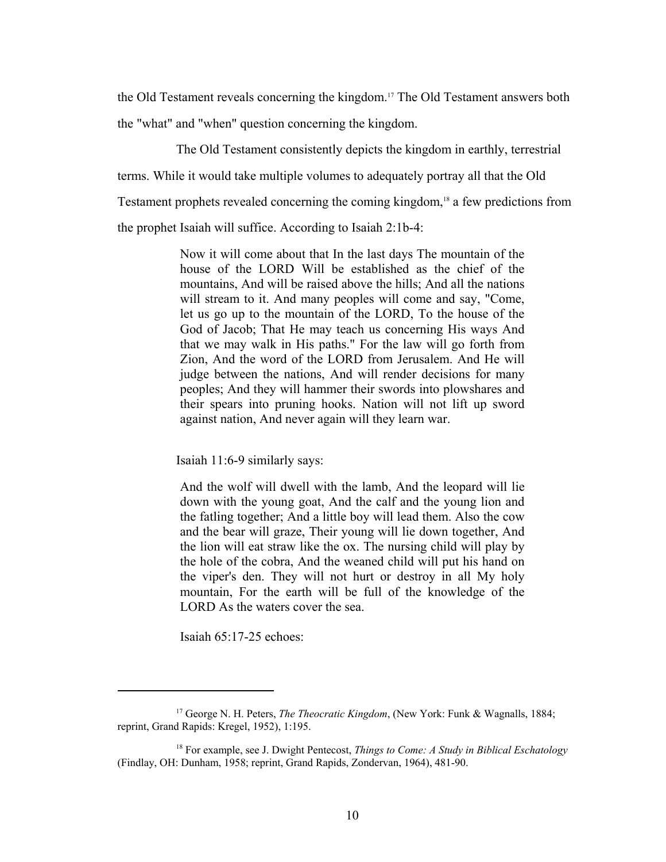the Old Testament reveals concerning the kingdom.17 The Old Testament answers both the "what" and "when" question concerning the kingdom.

The Old Testament consistently depicts the kingdom in earthly, terrestrial terms. While it would take multiple volumes to adequately portray all that the Old Testament prophets revealed concerning the coming kingdom,<sup>18</sup> a few predictions from the prophet Isaiah will suffice. According to Isaiah 2:1b-4:

> Now it will come about that In the last days The mountain of the house of the LORD Will be established as the chief of the mountains, And will be raised above the hills; And all the nations will stream to it. And many peoples will come and say, "Come, let us go up to the mountain of the LORD, To the house of the God of Jacob; That He may teach us concerning His ways And that we may walk in His paths." For the law will go forth from Zion, And the word of the LORD from Jerusalem. And He will judge between the nations, And will render decisions for many peoples; And they will hammer their swords into plowshares and their spears into pruning hooks. Nation will not lift up sword against nation, And never again will they learn war.

Isaiah 11:6-9 similarly says:

And the wolf will dwell with the lamb, And the leopard will lie down with the young goat, And the calf and the young lion and the fatling together; And a little boy will lead them. Also the cow and the bear will graze, Their young will lie down together, And the lion will eat straw like the ox. The nursing child will play by the hole of the cobra, And the weaned child will put his hand on the viper's den. They will not hurt or destroy in all My holy mountain, For the earth will be full of the knowledge of the LORD As the waters cover the sea.

Isaiah 65:17-25 echoes:

<sup>17</sup> George N. H. Peters, *The Theocratic Kingdom*, (New York: Funk & Wagnalls, 1884; reprint, Grand Rapids: Kregel, 1952), 1:195.

<sup>18</sup> For example, see J. Dwight Pentecost, *Things to Come: A Study in Biblical Eschatology* (Findlay, OH: Dunham, 1958; reprint, Grand Rapids, Zondervan, 1964), 481-90.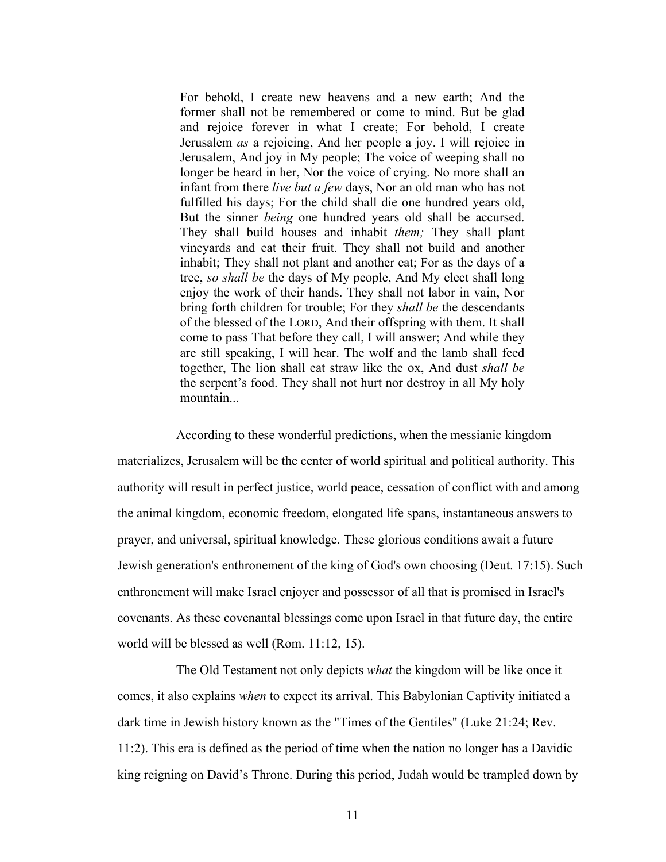For behold, I create new heavens and a new earth; And the former shall not be remembered or come to mind. But be glad and rejoice forever in what I create; For behold, I create Jerusalem *as* a rejoicing, And her people a joy. I will rejoice in Jerusalem, And joy in My people; The voice of weeping shall no longer be heard in her, Nor the voice of crying. No more shall an infant from there *live but a few* days, Nor an old man who has not fulfilled his days; For the child shall die one hundred years old, But the sinner *being* one hundred years old shall be accursed. They shall build houses and inhabit *them;* They shall plant vineyards and eat their fruit. They shall not build and another inhabit; They shall not plant and another eat; For as the days of a tree, *so shall be* the days of My people, And My elect shall long enjoy the work of their hands. They shall not labor in vain, Nor bring forth children for trouble; For they *shall be* the descendants of the blessed of the LORD, And their offspring with them. It shall come to pass That before they call, I will answer; And while they are still speaking, I will hear. The wolf and the lamb shall feed together, The lion shall eat straw like the ox, And dust *shall be* the serpent's food. They shall not hurt nor destroy in all My holy mountain

According to these wonderful predictions, when the messianic kingdom materializes, Jerusalem will be the center of world spiritual and political authority. This authority will result in perfect justice, world peace, cessation of conflict with and among the animal kingdom, economic freedom, elongated life spans, instantaneous answers to prayer, and universal, spiritual knowledge. These glorious conditions await a future Jewish generation's enthronement of the king of God's own choosing (Deut. 17:15). Such enthronement will make Israel enjoyer and possessor of all that is promised in Israel's covenants. As these covenantal blessings come upon Israel in that future day, the entire world will be blessed as well (Rom. 11:12, 15).

The Old Testament not only depicts *what* the kingdom will be like once it comes, it also explains *when* to expect its arrival. This Babylonian Captivity initiated a dark time in Jewish history known as the "Times of the Gentiles" (Luke 21:24; Rev. 11:2). This era is defined as the period of time when the nation no longer has a Davidic king reigning on David's Throne. During this period, Judah would be trampled down by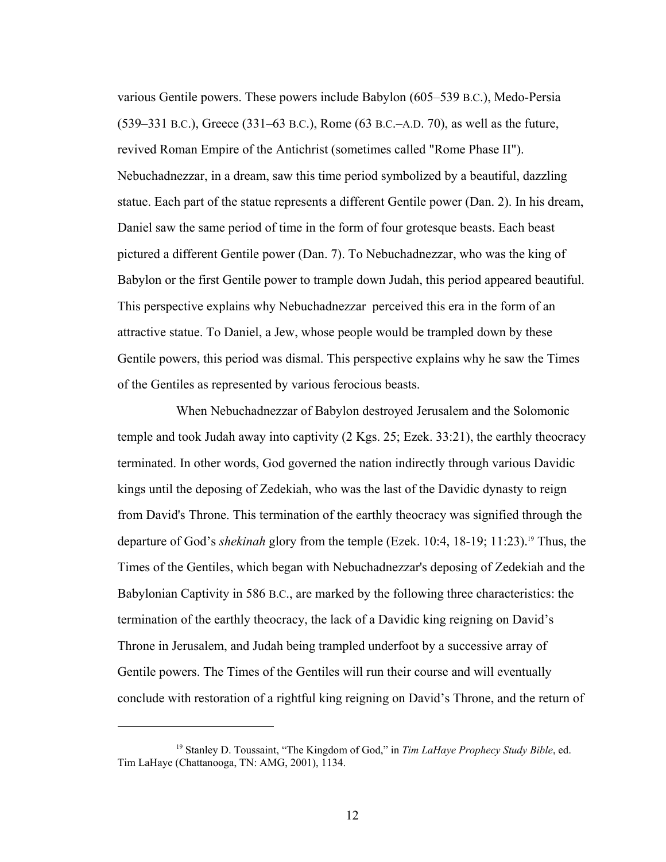various Gentile powers. These powers include Babylon (605–539 B.C.), Medo-Persia (539–331 B.C.), Greece (331–63 B.C.), Rome (63 B.C.–A.D. 70), as well as the future, revived Roman Empire of the Antichrist (sometimes called "Rome Phase II"). Nebuchadnezzar, in a dream, saw this time period symbolized by a beautiful, dazzling statue. Each part of the statue represents a different Gentile power (Dan. 2). In his dream, Daniel saw the same period of time in the form of four grotesque beasts. Each beast pictured a different Gentile power (Dan. 7). To Nebuchadnezzar, who was the king of Babylon or the first Gentile power to trample down Judah, this period appeared beautiful. This perspective explains why Nebuchadnezzar perceived this era in the form of an attractive statue. To Daniel, a Jew, whose people would be trampled down by these Gentile powers, this period was dismal. This perspective explains why he saw the Times of the Gentiles as represented by various ferocious beasts.

When Nebuchadnezzar of Babylon destroyed Jerusalem and the Solomonic temple and took Judah away into captivity (2 Kgs. 25; Ezek. 33:21), the earthly theocracy terminated. In other words, God governed the nation indirectly through various Davidic kings until the deposing of Zedekiah, who was the last of the Davidic dynasty to reign from David's Throne. This termination of the earthly theocracy was signified through the departure of God's *shekinah* glory from the temple (Ezek. 10:4, 18-19; 11:23).19 Thus, the Times of the Gentiles, which began with Nebuchadnezzar's deposing of Zedekiah and the Babylonian Captivity in 586 B.C., are marked by the following three characteristics: the termination of the earthly theocracy, the lack of a Davidic king reigning on David's Throne in Jerusalem, and Judah being trampled underfoot by a successive array of Gentile powers. The Times of the Gentiles will run their course and will eventually conclude with restoration of a rightful king reigning on David's Throne, and the return of

<sup>19</sup> Stanley D. Toussaint, "The Kingdom of God," in *Tim LaHaye Prophecy Study Bible*, ed. Tim LaHaye (Chattanooga, TN: AMG, 2001), 1134.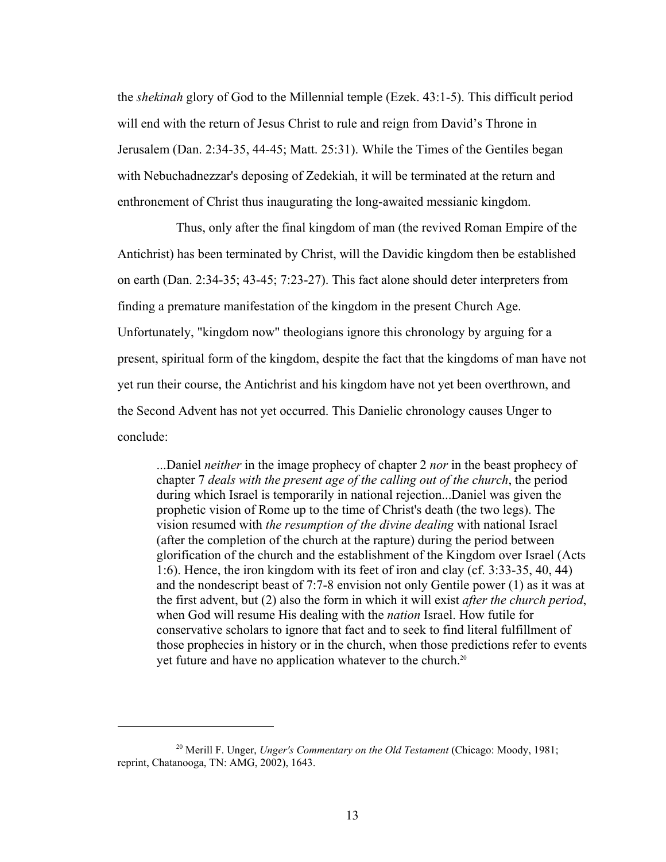the *shekinah* glory of God to the Millennial temple (Ezek. 43:1-5). This difficult period will end with the return of Jesus Christ to rule and reign from David's Throne in Jerusalem (Dan. 2:34-35, 44-45; Matt. 25:31). While the Times of the Gentiles began with Nebuchadnezzar's deposing of Zedekiah, it will be terminated at the return and enthronement of Christ thus inaugurating the long-awaited messianic kingdom.

Thus, only after the final kingdom of man (the revived Roman Empire of the Antichrist) has been terminated by Christ, will the Davidic kingdom then be established on earth (Dan. 2:34-35; 43-45; 7:23-27). This fact alone should deter interpreters from finding a premature manifestation of the kingdom in the present Church Age. Unfortunately, "kingdom now" theologians ignore this chronology by arguing for a present, spiritual form of the kingdom, despite the fact that the kingdoms of man have not yet run their course, the Antichrist and his kingdom have not yet been overthrown, and the Second Advent has not yet occurred. This Danielic chronology causes Unger to conclude:

...Daniel *neither* in the image prophecy of chapter 2 *nor* in the beast prophecy of chapter 7 *deals with the present age of the calling out of the church*, the period during which Israel is temporarily in national rejection...Daniel was given the prophetic vision of Rome up to the time of Christ's death (the two legs). The vision resumed with *the resumption of the divine dealing* with national Israel (after the completion of the church at the rapture) during the period between glorification of the church and the establishment of the Kingdom over Israel (Acts 1:6). Hence, the iron kingdom with its feet of iron and clay (cf. 3:33-35, 40, 44) and the nondescript beast of 7:7-8 envision not only Gentile power (1) as it was at the first advent, but (2) also the form in which it will exist *after the church period*, when God will resume His dealing with the *nation* Israel. How futile for conservative scholars to ignore that fact and to seek to find literal fulfillment of those prophecies in history or in the church, when those predictions refer to events yet future and have no application whatever to the church.20

<sup>20</sup> Merill F. Unger, *Unger's Commentary on the Old Testament* (Chicago: Moody, 1981; reprint, Chatanooga, TN: AMG, 2002), 1643.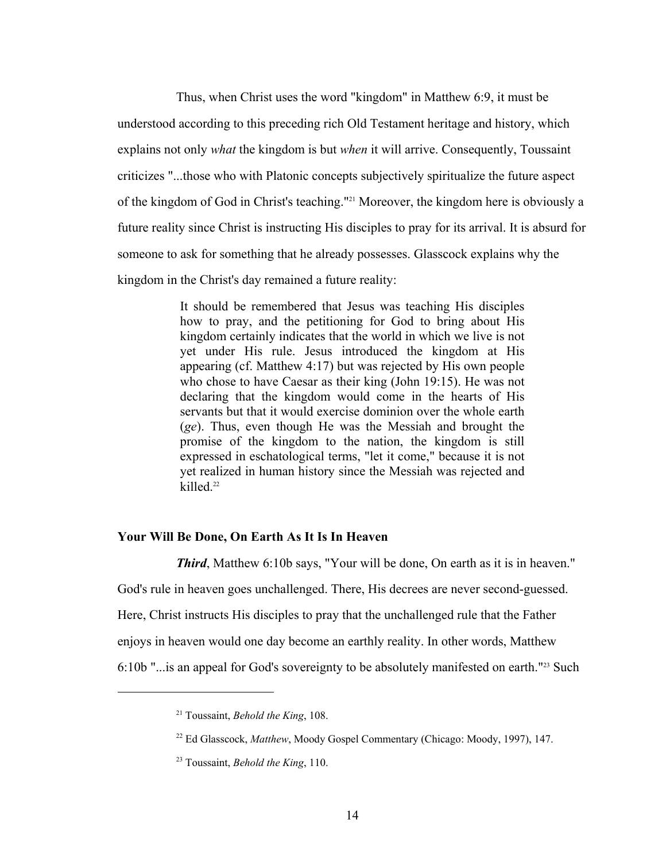Thus, when Christ uses the word "kingdom" in Matthew 6:9, it must be understood according to this preceding rich Old Testament heritage and history, which explains not only *what* the kingdom is but *when* it will arrive. Consequently, Toussaint criticizes "...those who with Platonic concepts subjectively spiritualize the future aspect of the kingdom of God in Christ's teaching."21 Moreover, the kingdom here is obviously a future reality since Christ is instructing His disciples to pray for its arrival. It is absurd for someone to ask for something that he already possesses. Glasscock explains why the kingdom in the Christ's day remained a future reality:

> It should be remembered that Jesus was teaching His disciples how to pray, and the petitioning for God to bring about His kingdom certainly indicates that the world in which we live is not yet under His rule. Jesus introduced the kingdom at His appearing (cf. Matthew 4:17) but was rejected by His own people who chose to have Caesar as their king (John 19:15). He was not declaring that the kingdom would come in the hearts of His servants but that it would exercise dominion over the whole earth (*ge*). Thus, even though He was the Messiah and brought the promise of the kingdom to the nation, the kingdom is still expressed in eschatological terms, "let it come," because it is not yet realized in human history since the Messiah was rejected and killed.<sup>22</sup>

## **Your Will Be Done, On Earth As It Is In Heaven**

*Third*, Matthew 6:10b says, "Your will be done, On earth as it is in heaven." God's rule in heaven goes unchallenged. There, His decrees are never second-guessed. Here, Christ instructs His disciples to pray that the unchallenged rule that the Father enjoys in heaven would one day become an earthly reality. In other words, Matthew 6:10b "...is an appeal for God's sovereignty to be absolutely manifested on earth."23 Such

<u>.</u>

<sup>21</sup> Toussaint, *Behold the King*, 108.

<sup>&</sup>lt;sup>22</sup> Ed Glasscock, *Matthew*, Moody Gospel Commentary (Chicago: Moody, 1997), 147.

<sup>23</sup> Toussaint, *Behold the King*, 110.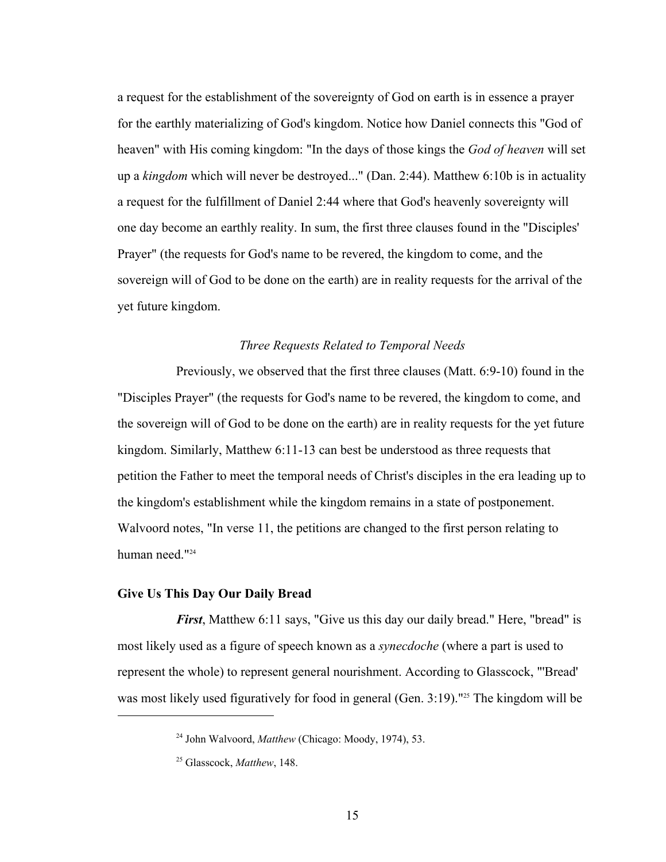a request for the establishment of the sovereignty of God on earth is in essence a prayer for the earthly materializing of God's kingdom. Notice how Daniel connects this "God of heaven" with His coming kingdom: "In the days of those kings the *God of heaven* will set up a *kingdom* which will never be destroyed..." (Dan. 2:44). Matthew 6:10b is in actuality a request for the fulfillment of Daniel 2:44 where that God's heavenly sovereignty will one day become an earthly reality. In sum, the first three clauses found in the "Disciples' Prayer" (the requests for God's name to be revered, the kingdom to come, and the sovereign will of God to be done on the earth) are in reality requests for the arrival of the yet future kingdom.

#### *Three Requests Related to Temporal Needs*

Previously, we observed that the first three clauses (Matt. 6:9-10) found in the "Disciples Prayer" (the requests for God's name to be revered, the kingdom to come, and the sovereign will of God to be done on the earth) are in reality requests for the yet future kingdom. Similarly, Matthew 6:11-13 can best be understood as three requests that petition the Father to meet the temporal needs of Christ's disciples in the era leading up to the kingdom's establishment while the kingdom remains in a state of postponement. Walvoord notes, "In verse 11, the petitions are changed to the first person relating to human need.<sup>"24</sup>

#### **Give Us This Day Our Daily Bread**

 $\overline{a}$ 

*First*, Matthew 6:11 says, "Give us this day our daily bread." Here, "bread" is most likely used as a figure of speech known as a *synecdoche* (where a part is used to represent the whole) to represent general nourishment. According to Glasscock, "'Bread' was most likely used figuratively for food in general (Gen.  $3:19$ )."<sup>25</sup> The kingdom will be

<sup>24</sup> John Walvoord, *Matthew* (Chicago: Moody, 1974), 53.

<sup>25</sup> Glasscock, *Matthew*, 148.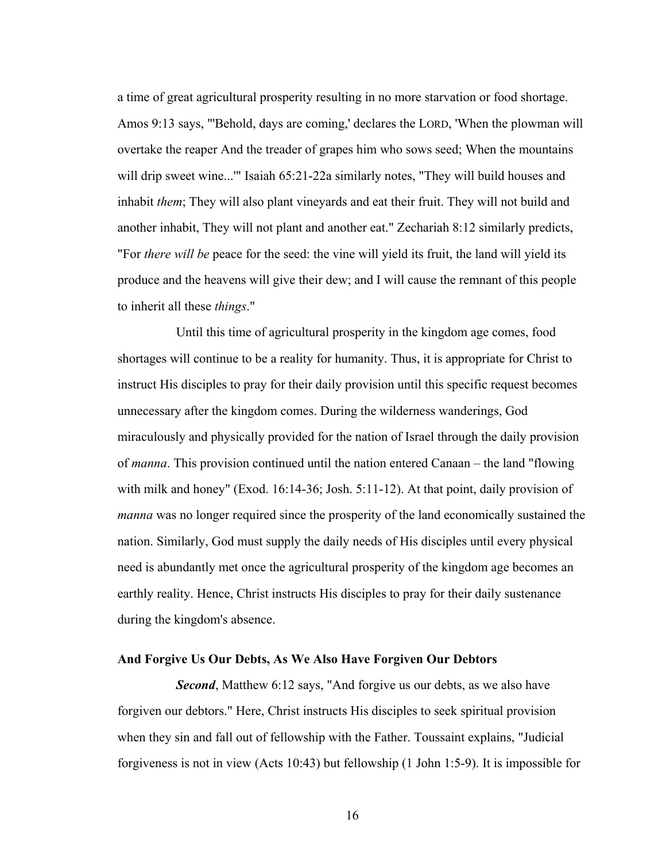a time of great agricultural prosperity resulting in no more starvation or food shortage. Amos 9:13 says, "'Behold, days are coming,' declares the LORD, 'When the plowman will overtake the reaper And the treader of grapes him who sows seed; When the mountains will drip sweet wine..."" Isaiah 65:21-22a similarly notes, "They will build houses and inhabit *them*; They will also plant vineyards and eat their fruit. They will not build and another inhabit, They will not plant and another eat." Zechariah 8:12 similarly predicts, "For *there will be* peace for the seed: the vine will yield its fruit, the land will yield its produce and the heavens will give their dew; and I will cause the remnant of this people to inherit all these *things*."

Until this time of agricultural prosperity in the kingdom age comes, food shortages will continue to be a reality for humanity. Thus, it is appropriate for Christ to instruct His disciples to pray for their daily provision until this specific request becomes unnecessary after the kingdom comes. During the wilderness wanderings, God miraculously and physically provided for the nation of Israel through the daily provision of *manna*. This provision continued until the nation entered Canaan – the land "flowing with milk and honey" (Exod. 16:14-36; Josh. 5:11-12). At that point, daily provision of *manna* was no longer required since the prosperity of the land economically sustained the nation. Similarly, God must supply the daily needs of His disciples until every physical need is abundantly met once the agricultural prosperity of the kingdom age becomes an earthly reality. Hence, Christ instructs His disciples to pray for their daily sustenance during the kingdom's absence.

### **And Forgive Us Our Debts, As We Also Have Forgiven Our Debtors**

*Second*, Matthew 6:12 says, "And forgive us our debts, as we also have forgiven our debtors." Here, Christ instructs His disciples to seek spiritual provision when they sin and fall out of fellowship with the Father. Toussaint explains, "Judicial forgiveness is not in view (Acts 10:43) but fellowship (1 John 1:5-9). It is impossible for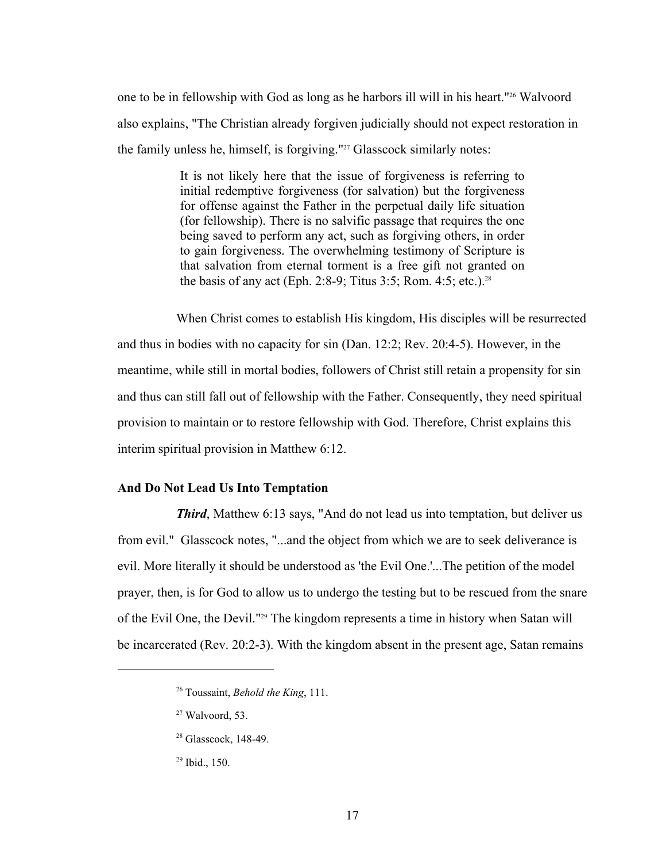one to be in fellowship with God as long as he harbors ill will in his heart."26 Walvoord also explains, "The Christian already forgiven judicially should not expect restoration in the family unless he, himself, is forgiving."27 Glasscock similarly notes:

> It is not likely here that the issue of forgiveness is referring to initial redemptive forgiveness (for salvation) but the forgiveness for offense against the Father in the perpetual daily life situation (for fellowship). There is no salvific passage that requires the one being saved to perform any act, such as forgiving others, in order to gain forgiveness. The overwhelming testimony of Scripture is that salvation from eternal torment is a free gift not granted on the basis of any act (Eph. 2:8-9; Titus 3:5; Rom. 4:5; etc.).<sup>28</sup>

When Christ comes to establish His kingdom, His disciples will be resurrected and thus in bodies with no capacity for sin (Dan. 12:2; Rev. 20:4-5). However, in the meantime, while still in mortal bodies, followers of Christ still retain a propensity for sin and thus can still fall out of fellowship with the Father. Consequently, they need spiritual provision to maintain or to restore fellowship with God. Therefore, Christ explains this interim spiritual provision in Matthew 6:12.

## **And Do Not Lead Us Into Temptation**

*Third*, Matthew 6:13 says, "And do not lead us into temptation, but deliver us from evil." Glasscock notes, "...and the object from which we are to seek deliverance is evil. More literally it should be understood as 'the Evil One.'...The petition of the model prayer, then, is for God to allow us to undergo the testing but to be rescued from the snare of the Evil One, the Devil."29 The kingdom represents a time in history when Satan will be incarcerated (Rev. 20:2-3). With the kingdom absent in the present age, Satan remains

<sup>26</sup> Toussaint, *Behold the King*, 111.

 $27$  Walvoord, 53.

<sup>&</sup>lt;sup>28</sup> Glasscock, 148-49.

<sup>29</sup> Ibid., 150.